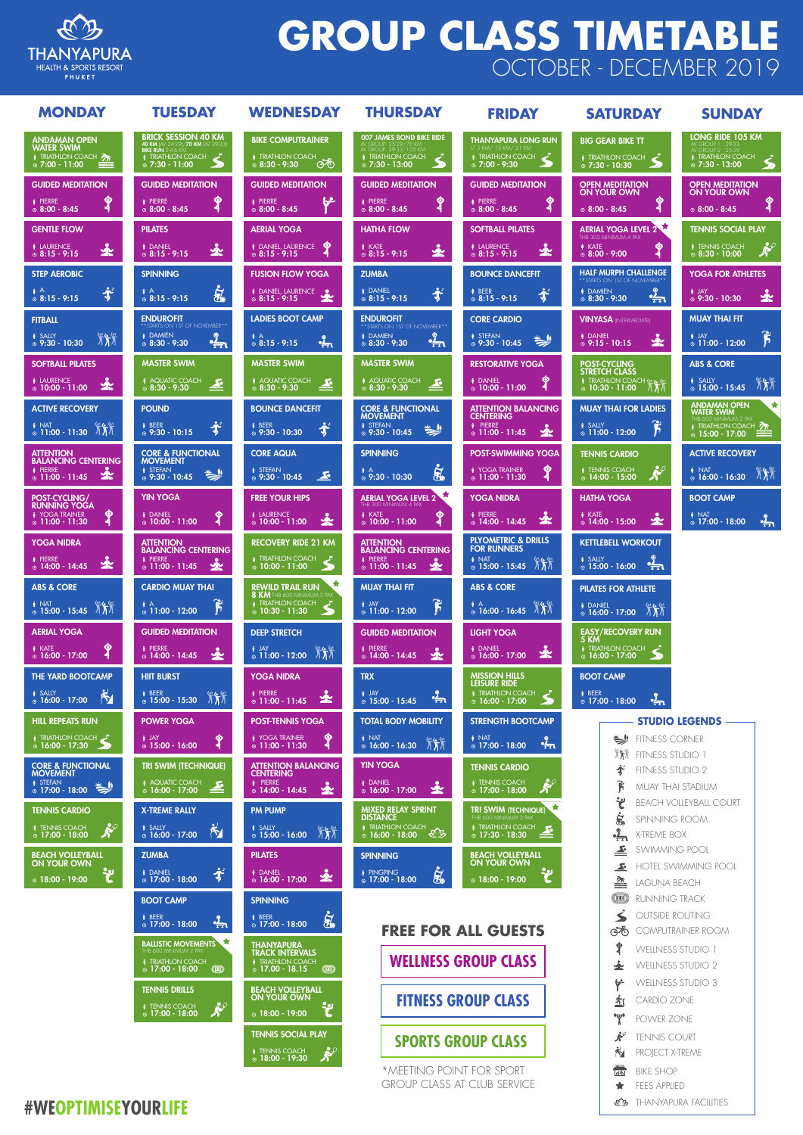

# **GROUP CLASS TIMETABLE** OCTOBER - DECEMBER 2019



| <b>MONDAY</b>                                                                                   | <b>TUESDAY</b>                                                                                                      | <b>WEDNESDAY</b>                                                                                                                 | <b>THURSDAY</b>                                                                                            | <b>FRIDAY</b>                                                                                                              | <b>SATURDAY</b>                                                                                                           | <b>SUNDAY</b>                                                                                                                      |
|-------------------------------------------------------------------------------------------------|---------------------------------------------------------------------------------------------------------------------|----------------------------------------------------------------------------------------------------------------------------------|------------------------------------------------------------------------------------------------------------|----------------------------------------------------------------------------------------------------------------------------|---------------------------------------------------------------------------------------------------------------------------|------------------------------------------------------------------------------------------------------------------------------------|
| <b>ANDAMAN OPEN</b><br>WATER SWIM<br>TRIATHLON COACH<br>$\circ$ 7:00 - 11:00<br><b>PARKS</b>    | <b>BRICK SESSION 40 KM</b><br>40 KM (AV 24-29)/70 KM (AV 29-33)<br><b>i</b> TRIATHLON COACH<br>$\circ$ 7:30 - 11:00 | <b>BIKE COMPUTRAINER</b><br><b>i</b> TRIATHLON COACH<br>ණෙ<br>$@ 8:30 - 9:30$                                                    | <b>007 JAMES BOND BIKE RIDE</b><br>TRIATHLON COACH<br>Ł.<br>$Q$ 7:30 - 13:00                               | THANYAPURA LONG RUN<br>(7.5 KM/ 15 KM/ 21 KM<br>$\bullet$ TRIATHLON COACH<br>$Q$ 7:00 - 9:30                               | <b>BIG GEAR BIKE TT</b><br><i>i</i> TRIATHLON COACH<br>$Q$ 7:30 - 10:30                                                   | <b>LONG RIDE 105 KM</b><br><b>i</b> TRIATHLON COACH<br>$\circ$ 7:30 - 13:00                                                        |
| <b>GUIDED MEDITATION</b><br>$\bullet$<br><b>i</b> PIERRE<br>$\circ$ 8:00 - 8:45<br>◀            | <b>GUIDED MEDITATION</b><br>$\bullet$<br><i>i</i> PIERRE<br>$@ 8:00 - 8:45$                                         | <b>GUIDED MEDITATION</b><br>بجيا<br><b>i</b> PIERRE<br>$@ 8:00 - 8:45$                                                           | <b>GUIDED MEDITATION</b><br>$\bullet$<br><b>i</b> PIERRE<br>$@ 8:00 - 8:45$<br>◀                           | <b>GUIDED MEDITATION</b><br>$\bullet$<br><b>PIERRE</b><br>$@ 8:00 - 8:45$<br>G                                             | <b>OPEN MEDITATION</b><br><b>ON YOUR OWN</b><br>⊙<br>4<br>$@ 8:00 - 8:45$                                                 | <b>OPEN MEDITATION</b><br><b>ON YOUR OWN</b><br>$\bullet$<br>$@ 8:00 - 8:45$                                                       |
| <b>GENTLE FLOW</b><br><i>i</i> LAURENCE<br>⊻<br>$@ 8:15 - 9:15$                                 | <b>PILATES</b><br><b>i</b> DANIEL<br>⊻<br>$\circ$ 8:15 - 9:15                                                       | <b>AERIAL YOGA</b><br><b>DANIEL, LAURENCE O</b><br>$@ 8:15 - 9:15$                                                               | <b>HATHA FLOW</b><br>$\bullet$ KATE<br>소<br>$@ 8:15 - 9:15$                                                | <b>SOFTBALL PILATES</b><br><b>i</b> LAURENCE<br>☆<br>$@ 8:15 - 9:15$                                                       | <b>AERIAL YOGA LEVEL 2</b><br>THB 300 MINIMUM 4 PAX<br><b>N</b> KATE<br>$\bullet$<br>$@ 8:00 - 9:00$                      | <b>TENNIS SOCIAL PLAY</b><br>RS<br><b>i</b> TENNIS COACH<br>$@ 8:30 - 10:00$                                                       |
| <b>STEP AEROBIC</b><br>求<br>$\dot{\circ}$ 8:15 - 9:15                                           | <b>SPINNING</b><br>$\boldsymbol{\dot{\mathbf{z}}_{b}}$<br>$\frac{1}{9}$ $\frac{1}{8}$ :15 - 9:15                    | <b>FUSION FLOW YOGA</b><br>I DANIEL, LAURENCE                                                                                    | <b>ZUMBA</b><br>水<br><b>i</b> DANIEL<br>$\circ$ 8:15 - 9:15                                                | <b>BOUNCE DANCEFIT</b><br>$\mathbf{r}$<br><b>i</b> BEER<br>$\circ$ 8:15 - 9:15                                             | <b>HALF MURPH CHALLENGE</b><br>** STARTS ON 1ST OF NOVEMBER**<br><b>i</b> DAMIEN<br>$\frac{2}{11}$<br>$\circ$ 8:30 - 9:30 | <b>YOGA FOR ATHLETES</b><br><b>i</b> JAY<br>∱<br>$\ddot{\circ}$ 9:30 - 10:30                                                       |
| <b>FITBALL</b><br><b>i</b> SALLY<br>$\frac{1}{2}$<br>$Q$ 9:30 - 10:30                           | <b>ENDUROFIT</b><br>** STARTS ON 1ST OF NOVEMBER**<br><b>i</b> DAMIEN<br>B<br>$@ 8:30 - 9:30$                       | <b>LADIES BOOT CAMP</b><br>$\mathbf{A}$<br>$\frac{1}{2}$<br>$@ 8:15 - 9:15$                                                      | <b>ENDUROFIT</b><br>** STARTS ON 1ST OF NOVEMBER**<br><b>i</b> DAMIEN<br>$\frac{2}{11}$<br>$@ 8:30 - 9:30$ | <b>CORE CARDIO</b><br><i>i</i> STEFAN<br>☀<br>$\circ$ 9:30 - 10:45                                                         | <b>VINYASA (INTERMEDIATE)</b><br><b>i</b> DANIEL<br>宝<br>$\circ$ 9:15 - 10:15                                             | <b>MUAY THAI FIT</b><br>$\hat{F}$<br><b>i</b> JAY<br>$\circ$ 11:00 - 12:00                                                         |
| <b>SOFTBALL PILATES</b><br>소<br><i>i</i> LAURENCE<br>$\circ$ 10:00 - 11:00                      | MASTER SWIM<br><b>AQUATIC COACH</b><br>스<br>$@ 8:30 - 9:30$                                                         | <b>MASTER SWIM</b><br><b>i</b> AQUATIC COACH<br>스<br>$@ 8:30 - 9:30$                                                             | <b>MASTER SWIM</b><br><b>i</b> AQUATIC COACH<br>스<br>$@ 8:30 - 9:30$                                       | <b>RESTORATIVE YOGA</b><br><b>i</b> DANIEL<br>$\circ$ 10:00 - 11:00                                                        | POST-CYCLING<br><b>STRETCH CLASS</b><br>i TRIATHLON COACH<br>$\circ$ 10:30 - 11:00                                        | <b>ABS &amp; CORE</b><br><b>i</b> SALLY<br>$\frac{1}{2}$<br>$\circ$ 15:00 - 15:45                                                  |
| <b>ACTIVE RECOVERY</b><br><b>NAT</b><br>パパ<br>$\circ$ 11:00 - 11:30                             | <b>POUND</b><br>$\mathbf{r}$<br><b>i</b> BEER<br>$Q$ 9:30 - 10:15                                                   | <b>BOUNCE DANCEFIT</b><br><b>Ry</b><br><b>i</b> BEER<br>$@9:30 - 10:30$                                                          | <b>CORE &amp; FUNCTIONAL</b><br><b>MOVEMENT</b><br><b>i</b> STEFAN<br>☀<br>$9:30 - 10:45$                  | <b>ATTENTION BALANCING</b><br><b>CENTERING</b><br>$\bullet$ PIERRE<br>$\mathbf{\mathbf{\hat{X}}}$<br>$\circ$ 11:00 - 11:45 | <b>MUAY THAI FOR LADIES</b><br>ĥ<br><b>i</b> SALLY<br>$\circ$ 11:00 - 12:00                                               | $\rightarrow$<br><b>ANDAMAN OPEN<br/>WATER SWIM</b><br>THB 600 MINIMUM 2 PAX<br><b>TRIATHLON COACH 20</b><br>$\circ$ 15:00 - 17:00 |
| <b>ATTENTION</b><br><b>BALANCING CENTERING</b><br><b>i</b> PIERRE<br>金<br>$\circ$ 11:00 - 11:45 | <b>CORE &amp; FUNCTIONAL</b><br><b>MOVEMENT</b><br><b>i</b> STEFAN<br>$\Rightarrow$<br>$\circ$ 9:30 - 10:45         | <b>CORE AQUA</b><br>$\mathbf{r}$                                                                                                 | <b>SPINNING</b><br>$\boldsymbol{\dot{\mathbf{z}}}$<br>$\mathbf{A}$<br>$\overline{9:30 - 10:30}$            | <b>POST-SWIMMING YOGA</b><br>$\bullet$<br><i>i</i> YOGA TRAINER<br>$\frac{1}{2}$ 11:00 - 11:30<br>4                        | <b>TENNIS CARDIO</b><br><b>RUP</b><br><b>i</b> TENNIS COACH<br>$\circ$ 14:00 - 15:00                                      | <b>ACTIVE RECOVERY</b><br><b>i</b> NAT<br>$\frac{1}{2}$<br>$\circ$ 16:00 - 16:30                                                   |
| POST-CYCLING/<br><b>RUNNING YOGA</b><br>❤<br><i>i</i> YOGA TRAINER<br>$\circ$ 11:00 - 11:30     | <b>YIN YOGA</b><br><i>i</i> DANIEL<br>◉<br>$\circ$ 10:00 - 11:00                                                    | <b>FREE YOUR HIPS</b><br><i>i</i> LAURENCE<br>宝<br>$\circ$ 10:00 - 11:00                                                         | <b>AERIAL YOGA LEVEL 2</b><br>THB 300 MINIMUM 4 PAX<br><b>N</b> KATE<br>$\circ$ 10:00 - 11:00              | <b>YOGA NIDRA</b><br><b>i</b> PIERRE<br>金<br>$\circ$ 14:00 - 14:45                                                         | <b>HATHA YOGA</b><br><b>i</b> KATE<br>金<br>$\circ$ 14:00 - 15:00                                                          | <b>BOOT CAMP</b><br><b>i</b> NAT<br>$\frac{2}{11}$<br>$\circ$ 17:00 - 18:00                                                        |
| <b>YOGA NIDRA</b><br><i>i</i> PIERRE<br>$\tilde{\mathbf{x}}$<br>$\circ$ 14:00 - 14:45           | <b>ATTENTION</b><br><b>BALANCING CENTERING</b><br><i>i</i> PIERRE<br>$\frac{1}{2}$ 11:00 - 11:45                    | <b>RECOVERY RIDE 21 KM</b><br>i TRIATHLON COACH<br>$\dot{\circ}$ 10:00 - 11:00<br>$\rightarrow$                                  | <b>ATTENTION</b><br><b>BALANCING CENTERING</b><br><i>i</i> PIERRE<br>金<br>$\circ$ 11:00 - 11:45            | <b>PLYOMETRIC &amp; DRILLS</b><br><b>FOR RUNNERS</b><br><b>I</b> NAT<br>$\frac{1}{2}$ NAT $\frac{15:00 - 15:45}{15:10}$    | <b>KETTLEBELL WORKOUT</b><br>$\frac{1}{\circ}$ SALLY $\frac{1}{\circ}$ 16:00                                              |                                                                                                                                    |
| <b>ABS &amp; CORE</b><br>$\frac{1}{9}$ NAT $\frac{1}{9}$ 15:00 - 15:45                          | <b>CARDIO MUAY THAI</b><br>$\overline{\bm{h}}$<br>$\frac{1}{9}$ $\frac{1}{11:00}$ - 12:00                           | 倉<br><b>REWILD TRAIL RUN</b><br>8 KM THB 600 MINIMUM 2 PAX<br><b>i</b> TRIATHLON COACH<br>$\circ$ 10:30 - 11:30<br>$\rightarrow$ | <b>MUAY THAI FIT</b><br>$\mathbf{\hat{r}}$<br>$\frac{1}{9}$ JAY<br>$\frac{1}{9}$ 11:00 - 12:00             | <b>ABS &amp; CORE</b><br>$\frac{1}{9}$ $\frac{1}{16}$ :00 - 16:45 $\frac{100}{100}$                                        | <b>PILATES FOR ATHLETE</b><br><i>i</i> DANIEL<br>© 16:00 - 17:00                                                          |                                                                                                                                    |
| <b>AERIAL YOGA</b><br>$\bullet$<br>$i$ KATE<br>$\circ$ 16:00 - 17:00<br>-4                      | <b>GUIDED MEDITATION</b><br><b>i</b> PIERRE<br>金<br>$\circ$ 14:00 - 14:45                                           | <b>DEEP STRETCH</b><br>$\blacksquare$ JAY<br>$\frac{1}{9}$ JAY<br>$\frac{1}{9}$ 11:00 - 12:00 $\frac{1}{10}$                     | <b>GUIDED MEDITATION</b><br><b>PIERRE</b><br>变<br>$\circ$ 14:00 - 14:45                                    | <b>LIGHT YOGA</b><br><b>i</b> DANIEL<br>소<br>$\circ$ 16:00 - 17:00                                                         | <b>EASY/RECOVERY RUN</b><br>5 KM<br><b>I TRIATHLON COACH</b><br>$\circ$ 16:00 - 17:00                                     |                                                                                                                                    |
| THE YARD BOOTCAMP<br>$\tilde{\mathbf{z}}$<br><b>i</b> SALLY<br>$\circ$ 16:00 - 17:00            | <b>HIIT BURST</b><br><b>i</b> BEER<br>$\circ$ 15:00 - 15:30                                                         | <b>YOGA NIDRA</b><br><i>i</i> PIERRE<br>$\circ$ 11:00 - 11:45                                                                    | <b>TRX</b><br><b>JAY</b><br>$\frac{q}{111}$<br>$\circ$ 15:00 - 15:45                                       | MISSION HILLS<br>LEISURE RIDE<br><b>i</b> TRIATHLON COACH<br>سليم<br>$\circ$ 16:00 - 17:00                                 | <b>BOOT CAMP</b><br><b>i</b> BEER<br>$\frac{d}{d}$<br>$\circ$ 17:00 - 18:00                                               |                                                                                                                                    |
| <b>HILL REPEATS RUN</b><br>● TRIATHLON COACH<br>$\circ$ 16:00 - 17:30 $\bullet$                 | <b>POWER YOGA</b><br><b>JAY</b><br>$\boldsymbol{\mathsf{P}}$<br>$\circ$ 15:00 - 16:00                               | <b>POST-TENNIS YOGA</b><br>$\bullet$<br><i>i</i> YOGA TRAINER<br>$\blacktriangleleft$<br>$\circ$ 11:00 - 11:30                   | <b>TOTAL BODY MOBILITY</b><br><b>NAT</b><br>$\int$<br>$\circ$ 16:00 - 16:30                                | <b>STRENGTH BOOTCAMP</b><br><b>NAT</b><br>$\frac{d}{dx}$<br>$\circ$ 17:00 - 18:00                                          | $\Rightarrow$<br><b>FITNESS CORNER</b><br>11<br><b>FITNESS STUDIO 1</b>                                                   | <b>STUDIO LEGENDS —</b>                                                                                                            |
| <b>CORE &amp; FUNCTIONAL</b><br><b>MOVEMENT</b><br><b>i</b> STEFAN<br>◎ 17:00 - 18:00           | <b>TRI SWIM (TECHNIQUE)</b><br><b>i</b> Aquatic Coach<br>© <b>16:00 - 17:00</b><br>云                                | <b>ATTENTION BALANCING</b><br><b>CENTERING</b><br><b>i</b> PIERRE<br>$\circ$ 14:00 - 14:45                                       | <b>YIN YOGA</b><br><b>i</b> DANIEL<br>$\tilde{\mathbf{x}}$<br>$\circ$ 16:00 - 17:00                        | <b>TENNIS CARDIO</b><br><b>Right</b><br><b>i</b> TENNIS COACH<br>$\circ$ 17:00 - 18:00                                     | ず<br>FITNESS STUDIO 2<br>ĥ<br>MUAY THAI STADIUM                                                                           |                                                                                                                                    |
| <b>TENNIS CARDIO</b><br><b>RSP</b><br><b>TENNIS COACH</b><br>$\circ$ 17:00 - 18:00              | <b>X-TREME RALLY</b><br>$\boldsymbol{\tilde{\kappa}}$<br><i>i</i> SALLY<br>$\circ$ 16:00 - 17:00                    | <b>PM PUMP</b><br><b>i</b> SALLY<br>$\frac{1}{2}$<br>$\circ$ 15:00 - 16:00                                                       | <b>MIXED RELAY SPRINT</b><br><b>DISTANCE</b><br><b>i</b> TRIATHLON COACH <b>CB</b>                         | 食<br><b>TRI SWIM (TECHNIQUE)</b><br>THB 600 MINIMUM 2 PAX<br><i>i</i> Triathlon Coach <b>AD</b><br><b>©</b> 17:30 - 18:30  | $\mathbf{\dot{z}}$<br>SPINNING ROOM<br>X-TREME BOX<br>$\frac{1}{2}$                                                       | <b>BEACH VOLLEYBALL COURT</b>                                                                                                      |
| <b>BEACH VOLLEYBALL</b>                                                                         | <b>ZUMBA</b>                                                                                                        | <b>PILATES</b>                                                                                                                   | <b>SPINNING</b>                                                                                            | <b>BEACH VOLLEYBALL</b>                                                                                                    | $\blacktriangleright$<br>SWIMMING POOL                                                                                    |                                                                                                                                    |